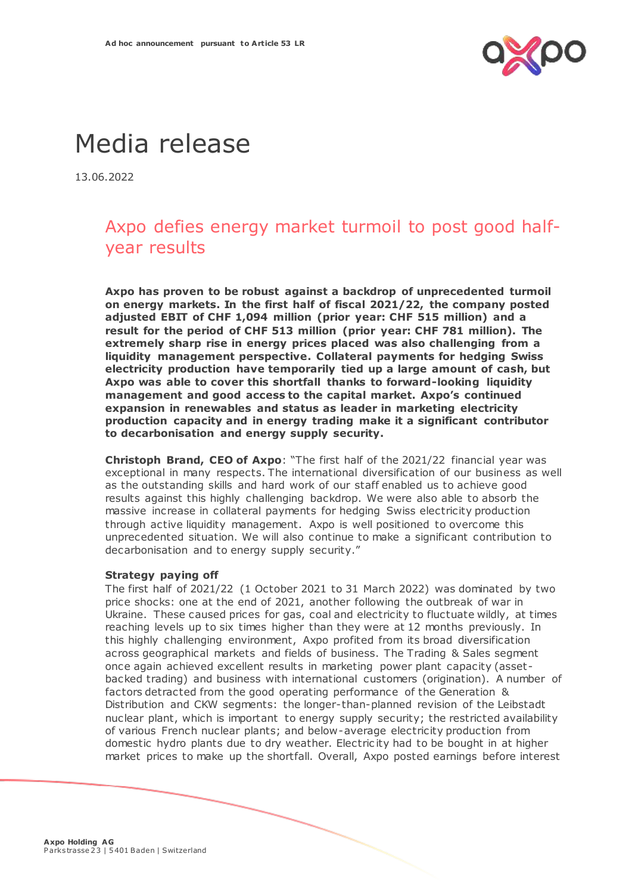

# Media release

13.06.2022

# Axpo defies energy market turmoil to post good halfyear results

**Axpo has proven to be robust against a backdrop of unprecedented turmoil on energy markets. In the first half of fiscal 2021/22, the company posted adjusted EBIT of CHF 1,094 million (prior year: CHF 515 million) and a result for the period of CHF 513 million (prior year: CHF 781 million). The extremely sharp rise in energy prices placed was also challenging from a liquidity management perspective. Collateral payments for hedging Swiss electricity production have temporarily tied up a large amount of cash, but Axpo was able to cover this shortfall thanks to forward-looking liquidity management and good access to the capital market. Axpo's continued expansion in renewables and status as leader in marketing electricity production capacity and in energy trading make it a significant contributor to decarbonisation and energy supply security.**

**Christoph Brand, CEO of Axpo**: "The first half of the 2021/22 financial year was exceptional in many respects. The international diversification of our business as well as the outstanding skills and hard work of our staff enabled us to achieve good results against this highly challenging backdrop. We were also able to absorb the massive increase in collateral payments for hedging Swiss electricity production through active liquidity management. Axpo is well positioned to overcome this unprecedented situation. We will also continue to make a significant contribution to decarbonisation and to energy supply security."

#### **Strategy paying off**

The first half of 2021/22 (1 October 2021 to 31 March 2022) was dominated by two price shocks: one at the end of 2021, another following the outbreak of war in Ukraine. These caused prices for gas, coal and electricity to fluctuate wildly, at times reaching levels up to six times higher than they were at 12 months previously. In this highly challenging environment, Axpo profited from its broad diversification across geographical markets and fields of business. The Trading & Sales segment once again achieved excellent results in marketing power plant capacity (asset backed trading) and business with international customers (origination). A number of factors detracted from the good operating performance of the Generation & Distribution and CKW segments: the longer-than-planned revision of the Leibstadt nuclear plant, which is important to energy supply security; the restricted availability of various French nuclear plants; and below-average electricity production from domestic hydro plants due to dry weather. Electric ity had to be bought in at higher market prices to make up the shortfall. Overall, Axpo posted earnings before interest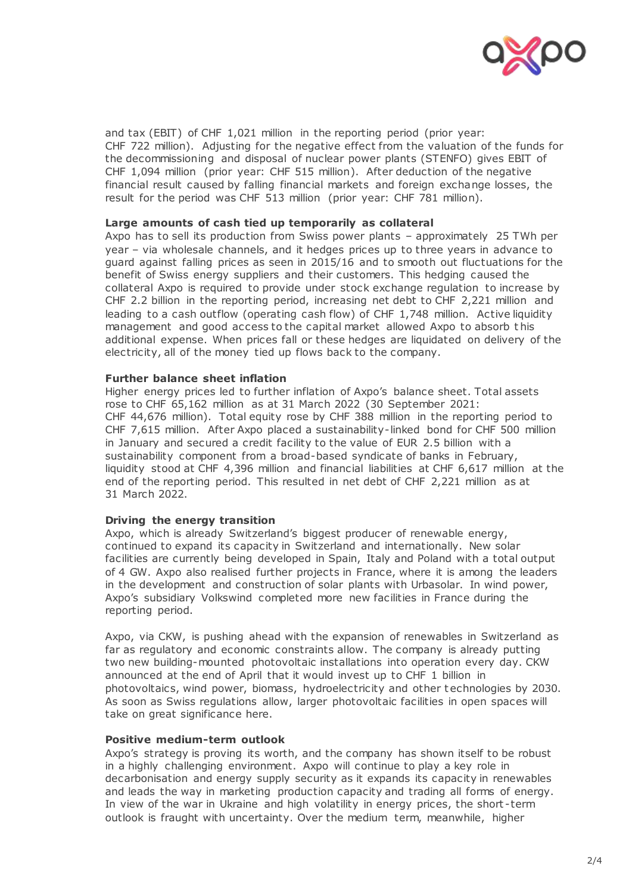

and tax (EBIT) of CHF 1,021 million in the reporting period (prior year: CHF 722 million). Adjusting for the negative effect from the valuation of the funds for the decommissioning and disposal of nuclear power plants (STENFO) gives EBIT of CHF 1,094 million (prior year: CHF 515 million). After deduction of the negative financial result caused by falling financial markets and foreign exchange losses, the result for the period was CHF 513 million (prior year: CHF 781 million).

#### **Large amounts of cash tied up temporarily as collateral**

Axpo has to sell its production from Swiss power plants – approximately 25 TWh per year – via wholesale channels, and it [hedges prices up to three years in advance](https://www.axpo.com/ch/en/about-us/magazine.detail.html/magazine/energy-market/7-things-you-need-to-know-about-hedging-electricity-prices.html) to guard against falling prices as seen in 2015/16 and to smooth out fluctuations for the benefit of Swiss energy suppliers and their customers. This hedging caused the collateral Axpo is required to provide under stock exchange regulation to increase by CHF 2.2 billion in the reporting period, increasing net debt to CHF 2,221 million and leading to a cash outflow (operating cash flow) of CHF 1,748 million. Active liquidity management and good access to the capital market allowed Axpo to absorb t his additional expense. When prices fall or these hedges are liquidated on delivery of the electricity, all of the money tied up flows back to the company.

#### **Further balance sheet inflation**

Higher energy prices led to further inflation of Axpo's balance sheet. Total assets rose to CHF 65,162 million as at 31 March 2022 (30 September 2021: CHF 44,676 million). Total equity rose by CHF 388 million in the reporting period to CHF 7,615 million. After Axpo placed a sustainability-linked bond for CHF 500 million in January and secured a credit facility to the value of EUR 2.5 billion with a sustainability component from a broad-based syndicate of banks in February, liquidity stood at CHF 4,396 million and financial liabilities at CHF 6,617 million at the end of the reporting period. This resulted in net debt of CHF 2,221 million as at 31 March 2022.

#### **Driving the energy transition**

Axpo, which is already Switzerland's biggest producer of renewable energy, continued to expand its capacity in Switzerland and internationally. New solar facilities are currently being developed in Spain, Italy and Poland with a total output of 4 GW. Axpo also realised further projects in France, where it is among the leaders in the development and construction of solar plants with Urbasolar. In wind power, Axpo's subsidiary Volkswind completed more new facilities in France during the reporting period.

Axpo, via CKW, is pushing ahead with the expansion of renewables in Switzerland as far as regulatory and economic constraints allow. The company is already putting two new building-mounted photovoltaic installations into operation every day. CKW announced at the end of April that it would invest up to CHF 1 billion in photovoltaics, wind power, biomass, hydroelectricity and other t echnologies by 2030. As soon as Swiss regulations allow, larger photovoltaic facilities in open spaces will take on great significance here.

#### **Positive medium-term outlook**

Axpo's strategy is proving its worth, and the company has shown itself to be robust in a highly challenging environment. Axpo will continue to play a key role in decarbonisation and energy supply security as it expands its capacity in renewables and leads the way in marketing production capacity and trading all forms of energy. In view of the war in Ukraine and high volatility in energy prices, the short -term outlook is fraught with uncertainty. Over the medium term, meanwhile, higher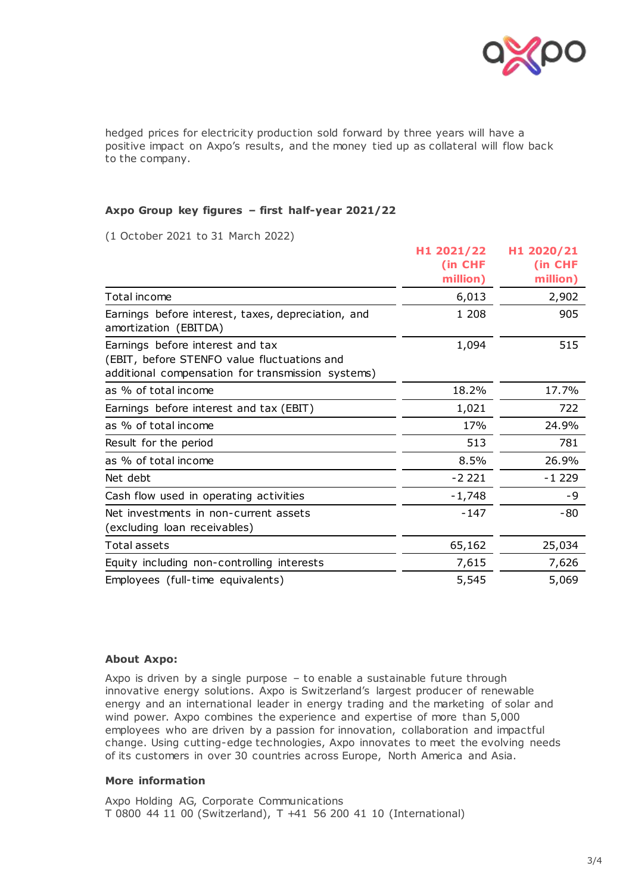

hedged prices for electricity production sold forward by three years will have a positive impact on Axpo's results, and the money tied up as collateral will flow back to the company.

### **Axpo Group key figures – first half-year 2021/22**

(1 October 2021 to 31 March 2022)

|                                                                                                                                      | H1 2021/22<br>(in CHF | H1 2020/21<br>(in CHF |
|--------------------------------------------------------------------------------------------------------------------------------------|-----------------------|-----------------------|
|                                                                                                                                      | million)              | million)              |
| Total income                                                                                                                         | 6,013                 | 2,902                 |
| Earnings before interest, taxes, depreciation, and<br>amortization (EBITDA)                                                          | 1 208                 | 905                   |
| Earnings before interest and tax<br>(EBIT, before STENFO value fluctuations and<br>additional compensation for transmission systems) | 1,094                 | 515                   |
| as % of total income                                                                                                                 | 18.2%                 | 17.7%                 |
| Earnings before interest and tax (EBIT)                                                                                              | 1,021                 | 722                   |
| as % of total income                                                                                                                 | 17%                   | 24.9%                 |
| Result for the period                                                                                                                | 513                   | 781                   |
| as % of total income                                                                                                                 | 8.5%                  | 26.9%                 |
| Net debt                                                                                                                             | $-2221$               | $-1229$               |
| Cash flow used in operating activities                                                                                               | $-1,748$              | -9                    |
| Net investments in non-current assets<br>(excluding loan receivables)                                                                | $-147$                | -80                   |
| Total assets                                                                                                                         | 65,162                | 25,034                |
| Equity including non-controlling interests                                                                                           | 7,615                 | 7,626                 |
| Employees (full-time equivalents)                                                                                                    | 5,545                 | 5,069                 |

## **About Axpo:**

Axpo is driven by a single purpose – to enable a sustainable future through innovative energy solutions. Axpo is Switzerland's largest producer of renewable energy and an international leader in energy trading and the marketing of solar and wind power. Axpo combines the experience and expertise of more than 5,000 employees who are driven by a passion for innovation, collaboration and impactful change. Using cutting-edge technologies, Axpo innovates to meet the evolving needs of its customers in over 30 countries across Europe, North America and Asia.

#### **More information**

Axpo Holding AG, Corporate Communications T 0800 44 11 00 (Switzerland), T +41 56 200 41 10 (International)